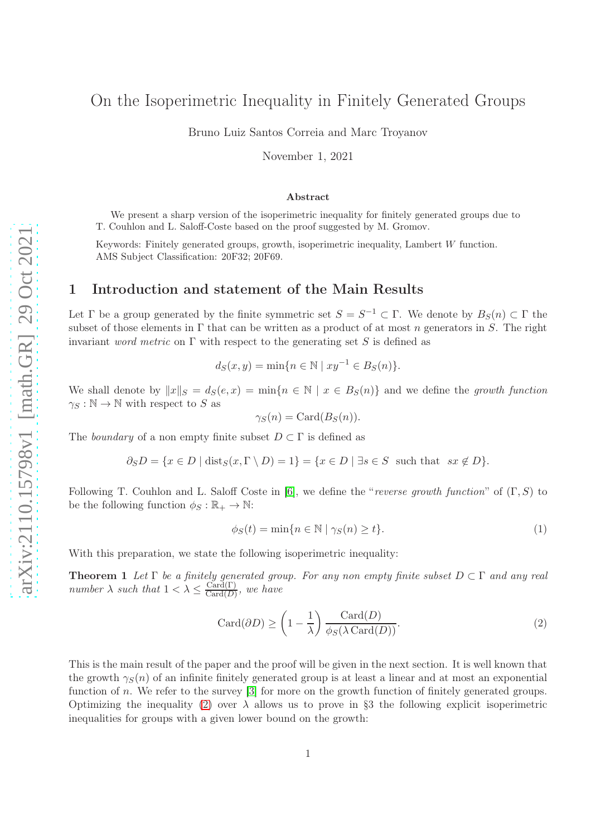# On the Isoperimetric Inequality in Finitely Generated Groups

Bruno Luiz Santos Correia and Marc Troyanov

November 1, 2021

#### Abstract

We present a sharp version of the isoperimetric inequality for finitely generated groups due to T. Couhlon and L. Saloff-Coste based on the proof suggested by M. Gromov.

Keywords: Finitely generated groups, growth, isoperimetric inequality, Lambert  $W$  function. AMS Subject Classification: 20F32; 20F69.

#### 1 Introduction and statement of the Main Results

Let  $\Gamma$  be a group generated by the finite symmetric set  $S = S^{-1} \subset \Gamma$ . We denote by  $B_S(n) \subset \Gamma$  the subset of those elements in  $\Gamma$  that can be written as a product of at most n generators in S. The right invariant *word metric* on  $\Gamma$  with respect to the generating set S is defined as

$$
d_S(x, y) = \min\{n \in \mathbb{N} \mid xy^{-1} \in B_S(n)\}.
$$

We shall denote by  $||x||_S = d_S(e, x) = \min\{n \in \mathbb{N} \mid x \in B_S(n)\}\$  and we define the growth function  $\gamma_S : \mathbb{N} \to \mathbb{N}$  with respect to S as

$$
\gamma_S(n) = \text{Card}(B_S(n)).
$$

The boundary of a non empty finite subset  $D \subset \Gamma$  is defined as

$$
\partial_S D = \{ x \in D \mid \text{dist}_S(x, \Gamma \setminus D) = 1 \} = \{ x \in D \mid \exists s \in S \text{ such that } sx \notin D \}.
$$

Following T. Couhlon and L. Saloff Coste in [\[6\]](#page-6-0), we define the "reverse growth function" of  $(\Gamma, S)$  to be the following function  $\phi_S : \mathbb{R}_+ \to \mathbb{N}$ :

<span id="page-0-2"></span>
$$
\phi_S(t) = \min\{n \in \mathbb{N} \mid \gamma_S(n) \ge t\}.
$$
\n(1)

With this preparation, we state the following isoperimetric inequality:

**Theorem 1** Let  $\Gamma$  be a finitely generated group. For any non empty finite subset  $D \subset \Gamma$  and any real number  $\lambda$  such that  $1 < \lambda \leq \frac{\text{Card}(\Gamma)}{\text{Card}(\Gamma)}$  $\frac{\text{Card}(1)}{\text{Card}(D)}$ , we have

<span id="page-0-0"></span>
$$
Card(\partial D) \ge \left(1 - \frac{1}{\lambda}\right) \frac{Card(D)}{\phi_S(\lambda \operatorname{Card}(D))}.
$$
\n(2)

<span id="page-0-1"></span>This is the main result of the paper and the proof will be given in the next section. It is well known that the growth  $\gamma_S(n)$  of an infinite finitely generated group is at least a linear and at most an exponential function of n. We refer to the survey [\[3\]](#page-6-1) for more on the growth function of finitely generated groups. Optimizing the inequality [\(2\)](#page-0-0) over  $\lambda$  allows us to prove in §3 the following explicit isoperimetric inequalities for groups with a given lower bound on the growth: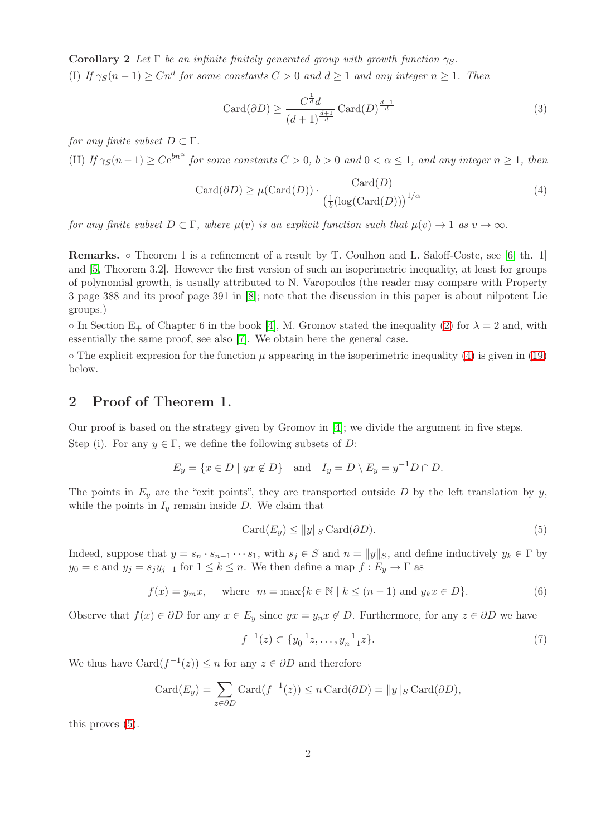Corollary 2 Let  $\Gamma$  be an infinite finitely generated group with growth function  $\gamma_S$ . (I) If  $\gamma_S(n-1) \geq C n^d$  for some constants  $C > 0$  and  $d \geq 1$  and any integer  $n \geq 1$ . Then

<span id="page-1-2"></span>
$$
\operatorname{Card}(\partial D) \ge \frac{C^{\frac{1}{d}}d}{(d+1)^{\frac{d+1}{d}}} \operatorname{Card}(D)^{\frac{d-1}{d}} \tag{3}
$$

for any finite subset  $D \subset \Gamma$ .

(II) If  $\gamma_S(n-1) \ge Ce^{bn^{\alpha}}$  for some constants  $C > 0$ ,  $b > 0$  and  $0 < \alpha \le 1$ , and any integer  $n \ge 1$ , then

<span id="page-1-0"></span>
$$
Card(\partial D) \ge \mu(Card(D)) \cdot \frac{Card(D)}{\left(\frac{1}{b}(\log(Card(D)))\right)^{1/\alpha}}\tag{4}
$$

for any finite subset  $D \subset \Gamma$ , where  $\mu(v)$  is an explicit function such that  $\mu(v) \to 1$  as  $v \to \infty$ .

Remarks. ◦ Theorem 1 is a refinement of a result by T. Coulhon and L. Saloff-Coste, see [\[6,](#page-6-0) th. 1] and [\[5,](#page-6-2) Theorem 3.2]. However the first version of such an isoperimetric inequality, at least for groups of polynomial growth, is usually attributed to N. Varopoulos (the reader may compare with Property 3 page 388 and its proof page 391 in [\[8\]](#page-6-3); note that the discussion in this paper is about nilpotent Lie groups.)

 $\circ$  In Section E<sub>+</sub> of Chapter 6 in the book [\[4\]](#page-6-4), M. Gromov stated the inequality [\(2\)](#page-0-0) for  $\lambda = 2$  and, with essentially the same proof, see also [\[7\]](#page-6-5). We obtain here the general case.

 $\circ$  The explicit expresion for the function  $\mu$  appearing in the isoperimetric inequality [\(4\)](#page-1-0) is given in [\(19\)](#page-5-0) below.

#### 2 Proof of Theorem 1.

Our proof is based on the strategy given by Gromov in [\[4\]](#page-6-4); we divide the argument in five steps. Step (i). For any  $y \in \Gamma$ , we define the following subsets of D:

$$
E_y = \{ x \in D \mid yx \notin D \} \quad \text{and} \quad I_y = D \setminus E_y = y^{-1}D \cap D.
$$

The points in  $E_y$  are the "exit points", they are transported outside D by the left translation by y, while the points in  $I_y$  remain inside D. We claim that

<span id="page-1-1"></span>
$$
Card(E_y) \le ||y||_S \operatorname{Card}(\partial D). \tag{5}
$$

Indeed, suppose that  $y = s_n \cdot s_{n-1} \cdots s_1$ , with  $s_j \in S$  and  $n = ||y||_S$ , and define inductively  $y_k \in \Gamma$  by  $y_0 = e$  and  $y_j = s_j y_{j-1}$  for  $1 \leq k \leq n$ . We then define a map  $f : E_y \to \Gamma$  as

<span id="page-1-3"></span>
$$
f(x) = y_m x, \quad \text{where} \quad m = \max\{k \in \mathbb{N} \mid k \le (n-1) \text{ and } y_k x \in D\}. \tag{6}
$$

Observe that  $f(x) \in \partial D$  for any  $x \in E_y$  since  $yx = y_n x \notin D$ . Furthermore, for any  $z \in \partial D$  we have

$$
f^{-1}(z) \subset \{y_0^{-1}z, \dots, y_{n-1}^{-1}z\}.
$$
\n<sup>(7)</sup>

We thus have  $\text{Card}(f^{-1}(z)) \leq n$  for any  $z \in \partial D$  and therefore

$$
Card(E_y) = \sum_{z \in \partial D} Card(f^{-1}(z)) \le n \operatorname{Card}(\partial D) = ||y||_S \operatorname{Card}(\partial D),
$$

this proves [\(5\)](#page-1-1).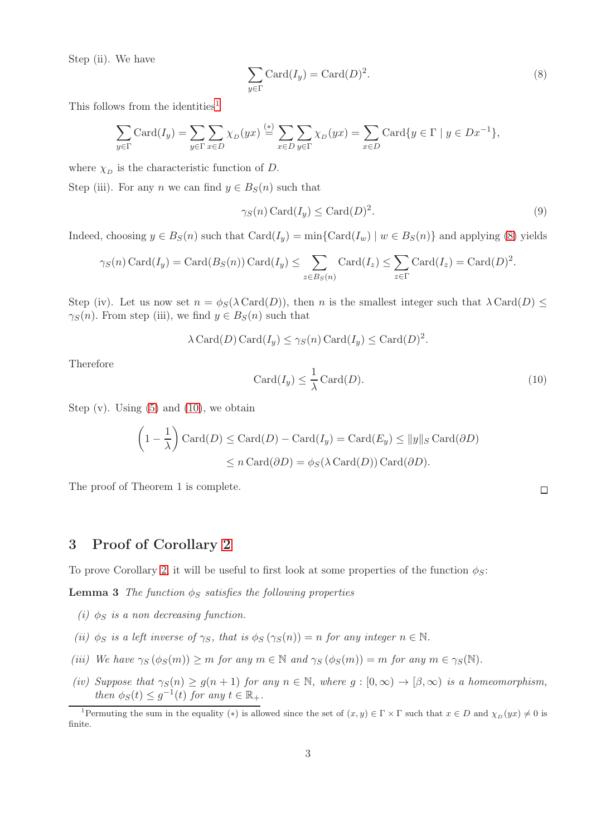Step (ii). We have

<span id="page-2-1"></span>
$$
\sum_{y \in \Gamma} \text{Card}(I_y) = \text{Card}(D)^2. \tag{8}
$$

This follows from the identities<sup>[1](#page-2-0)</sup>

$$
\sum_{y \in \Gamma} \text{Card}(I_y) = \sum_{y \in \Gamma} \sum_{x \in D} \chi_D(yx) \stackrel{(*)}{=} \sum_{x \in D} \sum_{y \in \Gamma} \chi_D(yx) = \sum_{x \in D} \text{Card}\{y \in \Gamma \mid y \in Dx^{-1}\},
$$

where  $\chi_D$  is the characteristic function of D.

Step (iii). For any n we can find  $y \in B_S(n)$  such that

$$
\gamma_S(n) \operatorname{Card}(I_y) \le \operatorname{Card}(D)^2. \tag{9}
$$

Indeed, choosing  $y \in B_S(n)$  such that  $Card(I_y) = min\{Card(I_w) | w \in B_S(n)\}\$  and applying [\(8\)](#page-2-1) yields

$$
\gamma_S(n) \operatorname{Card}(I_y) = \operatorname{Card}(B_S(n)) \operatorname{Card}(I_y) \le \sum_{z \in B_S(n)} \operatorname{Card}(I_z) \le \sum_{z \in \Gamma} \operatorname{Card}(I_z) = \operatorname{Card}(D)^2.
$$

Step (iv). Let us now set  $n = \phi_S(\lambda \operatorname{Card}(D))$ , then n is the smallest integer such that  $\lambda \operatorname{Card}(D) \leq$  $\gamma_S(n)$ . From step (iii), we find  $y \in B_S(n)$  such that

$$
\lambda \operatorname{Card}(D) \operatorname{Card}(I_y) \le \gamma_S(n) \operatorname{Card}(I_y) \le \operatorname{Card}(D)^2.
$$

Therefore

<span id="page-2-2"></span>
$$
Card(I_y) \le \frac{1}{\lambda} Card(D). \tag{10}
$$

Step  $(v)$ . Using  $(5)$  and  $(10)$ , we obtain

$$
\left(1 - \frac{1}{\lambda}\right) \operatorname{Card}(D) \leq \operatorname{Card}(D) - \operatorname{Card}(I_y) = \operatorname{Card}(E_y) \le ||y||_S \operatorname{Card}(\partial D)
$$
  

$$
\leq n \operatorname{Card}(\partial D) = \phi_S(\lambda \operatorname{Card}(D)) \operatorname{Card}(\partial D).
$$

The proof of Theorem 1 is complete.

## 3 Proof of Corollary [2](#page-0-1)

To prove Corollary [2,](#page-0-1) it will be useful to first look at some properties of the function  $\phi_{\mathcal{S}}$ :

**Lemma 3** The function  $\phi_S$  satisfies the following properties

- (i)  $\phi_S$  is a non decreasing function.
- (ii)  $\phi_S$  is a left inverse of  $\gamma_S$ , that is  $\phi_S(\gamma_S(n)) = n$  for any integer  $n \in \mathbb{N}$ .
- (iii) We have  $\gamma_S(\phi_S(m)) \ge m$  for any  $m \in \mathbb{N}$  and  $\gamma_S(\phi_S(m)) = m$  for any  $m \in \gamma_S(\mathbb{N})$ .
- (iv) Suppose that  $\gamma_S(n) \ge g(n+1)$  for any  $n \in \mathbb{N}$ , where  $g : [0, \infty) \to [\beta, \infty)$  is a homeomorphism, then  $\phi_S(t) \leq g^{-1}(t)$  for any  $t \in \mathbb{R}_+$ .

 $\Box$ 

<span id="page-2-0"></span><sup>&</sup>lt;sup>1</sup>Permuting the sum in the equality (\*) is allowed since the set of  $(x, y) \in \Gamma \times \Gamma$  such that  $x \in D$  and  $\chi_D(yx) \neq 0$  is finite.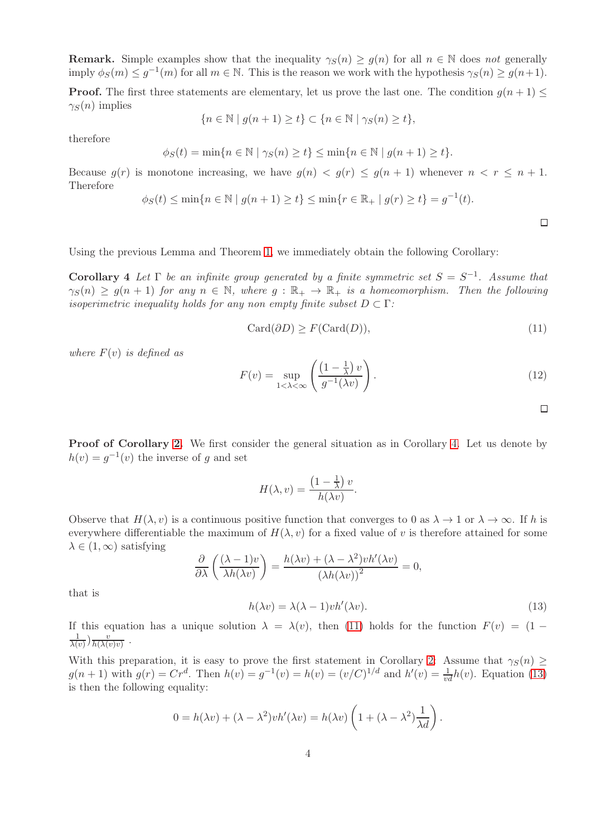**Remark.** Simple examples show that the inequality  $\gamma_S(n) \geq g(n)$  for all  $n \in \mathbb{N}$  does not generally imply  $\phi_S(m) \leq g^{-1}(m)$  for all  $m \in \mathbb{N}$ . This is the reason we work with the hypothesis  $\gamma_S(n) \geq g(n+1)$ .

**Proof.** The first three statements are elementary, let us prove the last one. The condition  $g(n+1) \leq$  $\gamma_S(n)$  implies

$$
\{n \in \mathbb{N} \mid g(n+1) \ge t\} \subset \{n \in \mathbb{N} \mid \gamma_S(n) \ge t\},\
$$

therefore

$$
\phi_S(t) = \min\{n \in \mathbb{N} \mid \gamma_S(n) \ge t\} \le \min\{n \in \mathbb{N} \mid g(n+1) \ge t\}.
$$

Because  $g(r)$  is monotone increasing, we have  $g(n) < g(r) \le g(n+1)$  whenever  $n < r \le n+1$ . Therefore

$$
\phi_S(t) \le \min\{n \in \mathbb{N} \mid g(n+1) \ge t\} \le \min\{r \in \mathbb{R}_+ \mid g(r) \ge t\} = g^{-1}(t).
$$

 $\Box$ 

 $\Box$ 

<span id="page-3-0"></span>Using the previous Lemma and Theorem [1,](#page-0-2) we immediately obtain the following Corollary:

Corollary 4 Let  $\Gamma$  be an infinite group generated by a finite symmetric set  $S = S^{-1}$ . Assume that  $\gamma_S(n) \geq g(n+1)$  for any  $n \in \mathbb{N}$ , where  $g : \mathbb{R}_+ \to \mathbb{R}_+$  is a homeomorphism. Then the following isoperimetric inequality holds for any non empty finite subset  $D \subset \Gamma$ :

<span id="page-3-1"></span>
$$
Card(\partial D) \ge F(Card(D)),\tag{11}
$$

where  $F(v)$  is defined as

<span id="page-3-3"></span>
$$
F(v) = \sup_{1 < \lambda < \infty} \left( \frac{\left(1 - \frac{1}{\lambda}\right)v}{g^{-1}(\lambda v)} \right).
$$
 (12)

Proof of Corollary [2.](#page-0-1) We first consider the general situation as in Corollary [4.](#page-3-0) Let us denote by  $h(v) = g^{-1}(v)$  the inverse of g and set

$$
H(\lambda, v) = \frac{\left(1 - \frac{1}{\lambda}\right)v}{h(\lambda v)}.
$$

Observe that  $H(\lambda, v)$  is a continuous positive function that converges to 0 as  $\lambda \to 1$  or  $\lambda \to \infty$ . If h is everywhere differentiable the maximum of  $H(\lambda, v)$  for a fixed value of v is therefore attained for some  $\lambda \in (1,\infty)$  satisfying

<span id="page-3-2"></span>
$$
\frac{\partial}{\partial \lambda} \left( \frac{(\lambda - 1)v}{\lambda h(\lambda v)} \right) = \frac{h(\lambda v) + (\lambda - \lambda^2)vh'(\lambda v)}{(\lambda h(\lambda v))^2} = 0,
$$
  

$$
h(\lambda v) = \lambda (\lambda - 1)vh'(\lambda v).
$$
 (13)

that is

If this equation has a unique solution  $\lambda = \lambda(v)$ , then [\(11\)](#page-3-1) holds for the function  $F(v) = (1 -$ 1  $\frac{1}{\lambda(v)})\frac{v}{h(\lambda(v))}$  $\frac{v}{h(\lambda(v)v)}$ .

With this preparation, it is easy to prove the first statement in Corollary [2:](#page-0-1) Assume that  $\gamma_S(n) \geq$  $g(n+1)$  with  $g(r) = Cr^d$ . Then  $h(v) = g^{-1}(v) = h(v) = (v/C)^{1/d}$  and  $h'(v) = \frac{1}{vd}h(v)$ . Equation [\(13\)](#page-3-2) is then the following equality:

$$
0 = h(\lambda v) + (\lambda - \lambda^2) v h'(\lambda v) = h(\lambda v) \left( 1 + (\lambda - \lambda^2) \frac{1}{\lambda d} \right).
$$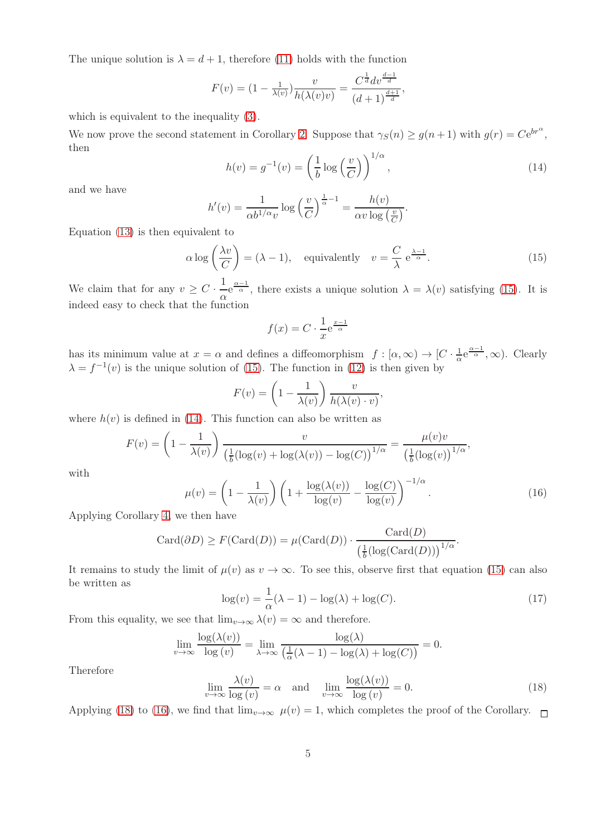The unique solution is  $\lambda = d + 1$ , therefore [\(11\)](#page-3-1) holds with the function

$$
F(v) = (1 - \frac{1}{\lambda(v)}) \frac{v}{h(\lambda(v)v)} = \frac{C^{\frac{1}{d}} dv^{\frac{d-1}{d}}}{(d+1)^{\frac{d+1}{d}}},
$$

which is equivalent to the inequality [\(3\)](#page-1-2).

We now prove the second statement in Corollary [2.](#page-0-1) Suppose that  $\gamma_S(n) \ge g(n+1)$  with  $g(r) = Ce^{br^{\alpha}}$ , then

<span id="page-4-1"></span>
$$
h(v) = g^{-1}(v) = \left(\frac{1}{b}\log\left(\frac{v}{C}\right)\right)^{1/\alpha},\tag{14}
$$

and we have

$$
h'(v) = \frac{1}{\alpha b^{1/\alpha} v} \log \left(\frac{v}{C}\right)^{\frac{1}{\alpha}-1} = \frac{h(v)}{\alpha v \log \left(\frac{v}{C}\right)}.
$$

Equation [\(13\)](#page-3-2) is then equivalent to

<span id="page-4-0"></span>
$$
\alpha \log \left( \frac{\lambda v}{C} \right) = (\lambda - 1), \quad \text{equivalently} \quad v = \frac{C}{\lambda} e^{\frac{\lambda - 1}{\alpha}}.
$$
 (15)

We claim that for any  $v \geq C \cdot \frac{1}{v}$  $\frac{1}{\alpha}e^{\frac{\alpha-1}{\alpha}}$ , there exists a unique solution  $\lambda = \lambda(v)$  satisfying [\(15\)](#page-4-0). It is indeed easy to check that the function

$$
f(x) = C \cdot \frac{1}{x} e^{\frac{x-1}{\alpha}}
$$

has its minimum value at  $x = \alpha$  and defines a diffeomorphism  $f : [\alpha, \infty) \to [C \cdot \frac{1}{\alpha}]$  $\frac{1}{\alpha}e^{\frac{\alpha-1}{\alpha}},\infty$ ). Clearly  $\lambda = f^{-1}(v)$  is the unique solution of [\(15\)](#page-4-0). The function in [\(12\)](#page-3-3) is then given by

$$
F(v) = \left(1 - \frac{1}{\lambda(v)}\right) \frac{v}{h(\lambda(v) \cdot v)}
$$

where  $h(v)$  is defined in [\(14\)](#page-4-1). This function can also be written as

$$
F(v) = \left(1 - \frac{1}{\lambda(v)}\right) \frac{v}{\left(\frac{1}{b}(\log(v) + \log(\lambda(v)) - \log(C)\right)^{1/\alpha}} = \frac{\mu(v)v}{\left(\frac{1}{b}(\log(v)\right)^{1/\alpha}},
$$

with

<span id="page-4-3"></span>
$$
\mu(v) = \left(1 - \frac{1}{\lambda(v)}\right) \left(1 + \frac{\log(\lambda(v))}{\log(v)} - \frac{\log(C)}{\log(v)}\right)^{-1/\alpha}.
$$
\n(16)

,

Applying Corollary [4,](#page-3-0) we then have

$$
Card(\partial D) \ge F(Card(D)) = \mu(Card(D)) \cdot \frac{Card(D)}{\left(\frac{1}{b}(\log(Card(D)))\right)^{1/\alpha}}.
$$

It remains to study the limit of  $\mu(v)$  as  $v \to \infty$ . To see this, observe first that equation [\(15\)](#page-4-0) can also be written as

$$
\log(v) = \frac{1}{\alpha}(\lambda - 1) - \log(\lambda) + \log(C). \tag{17}
$$

From this equality, we see that  $\lim_{v\to\infty} \lambda(v) = \infty$  and therefore.

$$
\lim_{v \to \infty} \frac{\log(\lambda(v))}{\log(v)} = \lim_{\lambda \to \infty} \frac{\log(\lambda)}{\left(\frac{1}{\alpha}(\lambda - 1) - \log(\lambda) + \log(C)\right)} = 0.
$$

Therefore

<span id="page-4-2"></span>
$$
\lim_{v \to \infty} \frac{\lambda(v)}{\log(v)} = \alpha \quad \text{and} \quad \lim_{v \to \infty} \frac{\log(\lambda(v))}{\log(v)} = 0. \tag{18}
$$

Applying [\(18\)](#page-4-2) to [\(16\)](#page-4-3), we find that  $\lim_{v\to\infty} \mu(v) = 1$ , which completes the proof of the Corollary.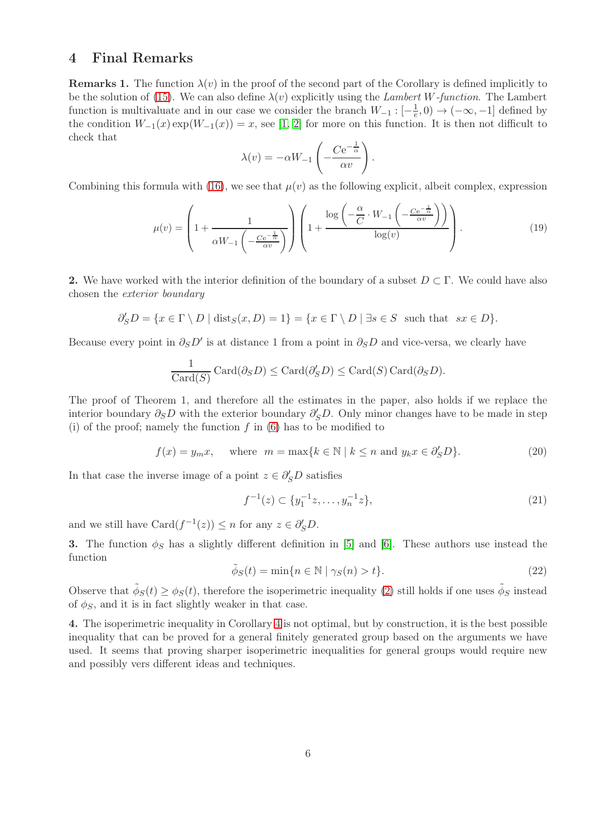#### 4 Final Remarks

**Remarks 1.** The function  $\lambda(v)$  in the proof of the second part of the Corollary is defined implicitly to be the solution of [\(15\)](#page-4-0). We can also define  $\lambda(v)$  explicitly using the *Lambert W-function*. The Lambert function is multivaluate and in our case we consider the branch  $W_{-1}:$   $[-\frac{1}{e}$  $(\frac{1}{e}, 0) \rightarrow (-\infty, -1]$  defined by the condition  $W_{-1}(x) \exp(W_{-1}(x)) = x$ , see [\[1,](#page-6-6) [2\]](#page-6-7) for more on this function. It is then not difficult to check that

$$
\lambda(v) = -\alpha W_{-1} \left( -\frac{Ce^{-\frac{1}{\alpha}}}{\alpha v} \right).
$$

Combining this formula with [\(16\)](#page-4-3), we see that  $\mu(v)$  as the following explicit, albeit complex, expression

<span id="page-5-0"></span>
$$
\mu(v) = \left(1 + \frac{1}{\alpha W_{-1} \left(-\frac{Ce^{-\frac{1}{\alpha}}}{\alpha v}\right)}\right) \left(1 + \frac{\log\left(-\frac{\alpha}{C} \cdot W_{-1}\left(-\frac{Ce^{-\frac{1}{\alpha}}}{\alpha v}\right)\right)}{\log(v)}\right). \tag{19}
$$

2. We have worked with the interior definition of the boundary of a subset  $D \subset \Gamma$ . We could have also chosen the exterior boundary

$$
\partial_S' D = \{ x \in \Gamma \setminus D \mid \text{dist}_S(x, D) = 1 \} = \{ x \in \Gamma \setminus D \mid \exists s \in S \text{ such that } sx \in D \}.
$$

Because every point in  $\partial_S D'$  is at distance 1 from a point in  $\partial_S D$  and vice-versa, we clearly have

$$
\frac{1}{\text{Card}(S)}\text{Card}(\partial_S D) \leq \text{Card}(\partial_S D) \leq \text{Card}(S)\text{Card}(\partial_S D).
$$

The proof of Theorem 1, and therefore all the estimates in the paper, also holds if we replace the interior boundary  $\partial_S D$  with the exterior boundary  $\partial'_S D$ . Only minor changes have to be made in step (i) of the proof; namely the function  $f$  in [\(6\)](#page-1-3) has to be modified to

$$
f(x) = y_m x, \quad \text{where} \quad m = \max\{k \in \mathbb{N} \mid k \le n \text{ and } y_k x \in \partial_S' D\}. \tag{20}
$$

In that case the inverse image of a point  $z \in \partial'_{S}D$  satisfies

$$
f^{-1}(z) \subset \{y_1^{-1}z, \dots, y_n^{-1}z\},\tag{21}
$$

and we still have  $\text{Card}(f^{-1}(z)) \leq n$  for any  $z \in \partial_S' D$ .

3. The function  $\phi_S$  has a slightly different definition in [\[5\]](#page-6-2) and [\[6\]](#page-6-0). These authors use instead the function

$$
\tilde{\phi}_S(t) = \min\{n \in \mathbb{N} \mid \gamma_S(n) > t\}.
$$
\n(22)

Observe that  $\tilde{\phi}_S(t) \ge \phi_S(t)$ , therefore the isoperimetric inequality [\(2\)](#page-0-0) still holds if one uses  $\tilde{\phi}_S$  instead of  $\phi_S$ , and it is in fact slightly weaker in that case.

4. The isoperimetric inequality in Corollary [4](#page-3-0) is not optimal, but by construction, it is the best possible inequality that can be proved for a general finitely generated group based on the arguments we have used. It seems that proving sharper isoperimetric inequalities for general groups would require new and possibly vers different ideas and techniques.